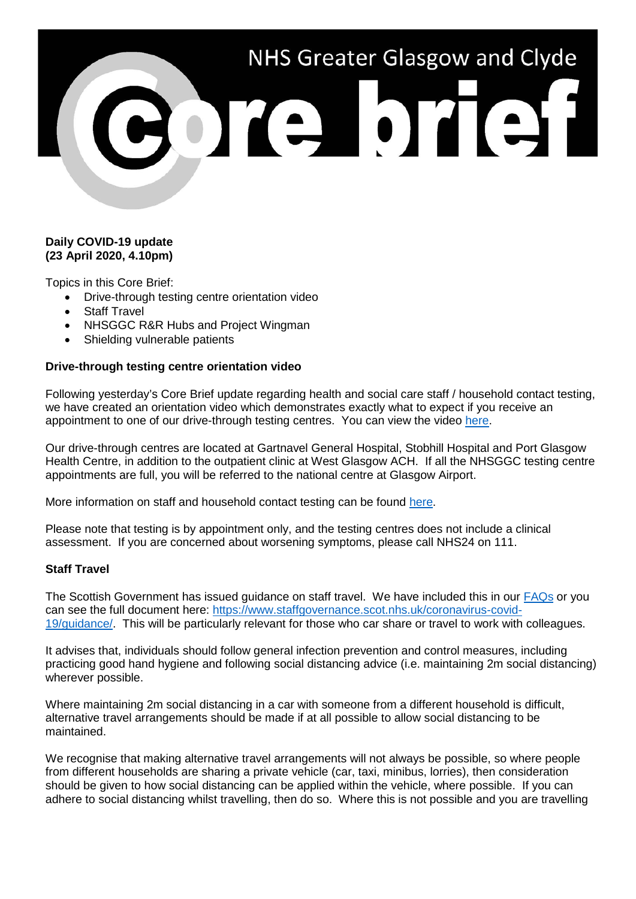# NHS Greater Glasgow and Clyde

# **Daily COVID-19 update (23 April 2020, 4.10pm)**

Topics in this Core Brief:

- Drive-through testing centre orientation video
- **Staff Travel**
- NHSGGC R&R Hubs and Project Wingman
- Shielding vulnerable patients

# **Drive-through testing centre orientation video**

Following yesterday's Core Brief update regarding health and social care staff / household contact testing, we have created an orientation video which demonstrates exactly what to expect if you receive an appointment to one of our drive-through testing centres. You can view the video [here.](https://www.youtube.com/watch?time_continue=1&v=2WJFYTjZQKE&feature=emb_logo)

Our drive-through centres are located at Gartnavel General Hospital, Stobhill Hospital and Port Glasgow Health Centre, in addition to the outpatient clinic at West Glasgow ACH. If all the NHSGGC testing centre appointments are full, you will be referred to the national centre at Glasgow Airport.

More information on staff and household contact testing can be found [here.](https://www.nhsggc.org.uk/media/259845/covid-19-testing-for-household-members-staff-with-symptoms_090420.pdf)

Please note that testing is by appointment only, and the testing centres does not include a clinical assessment. If you are concerned about worsening symptoms, please call NHS24 on 111.

### **Staff Travel**

The Scottish Government has issued guidance on staff travel. We have included this in our [FAQs](https://www.nhsggc.org.uk/your-health/health-issues/covid-19-coronavirus/for-nhsggc-staff/faqs/) or you can see the full document here: [https://www.staffgovernance.scot.nhs.uk/coronavirus-covid-](https://www.staffgovernance.scot.nhs.uk/coronavirus-covid-19/guidance/)[19/guidance/.](https://www.staffgovernance.scot.nhs.uk/coronavirus-covid-19/guidance/) This will be particularly relevant for those who car share or travel to work with colleagues.

It advises that, individuals should follow general infection prevention and control measures, including practicing good hand hygiene and following social distancing advice (i.e. maintaining 2m social distancing) wherever possible.

Where maintaining 2m social distancing in a car with someone from a different household is difficult, alternative travel arrangements should be made if at all possible to allow social distancing to be maintained.

We recognise that making alternative travel arrangements will not always be possible, so where people from different households are sharing a private vehicle (car, taxi, minibus, lorries), then consideration should be given to how social distancing can be applied within the vehicle, where possible. If you can adhere to social distancing whilst travelling, then do so. Where this is not possible and you are travelling